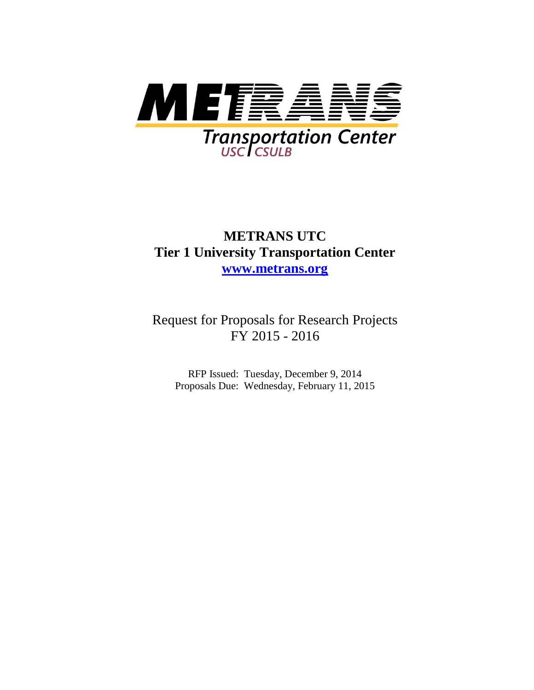

## **METRANS UTC Tier 1 University Transportation Center [www.metrans.org](http://www.metrans.org/)**

Request for Proposals for Research Projects FY 2015 - 2016

RFP Issued: Tuesday, December 9, 2014 Proposals Due: Wednesday, February 11, 2015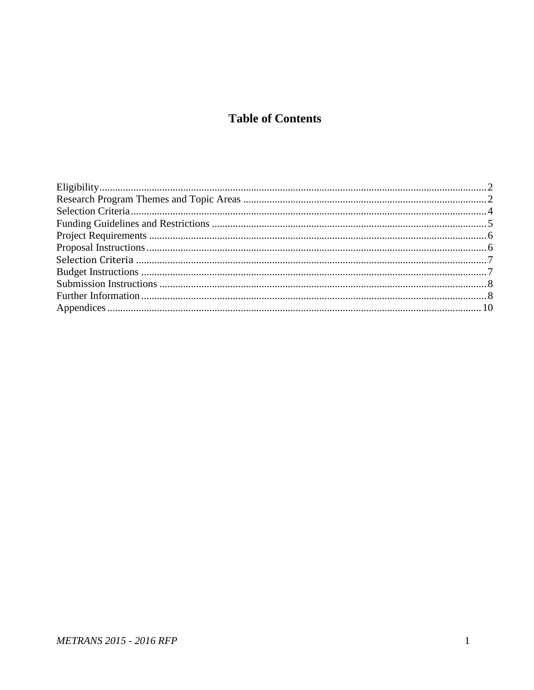### **Table of Contents**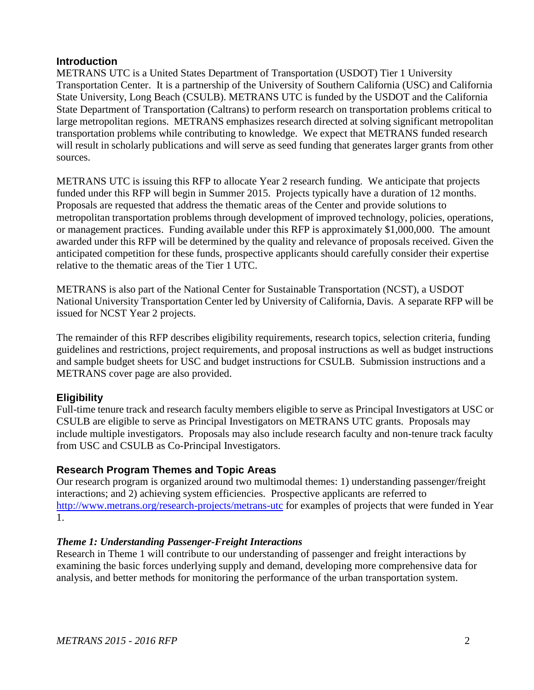#### **Introduction**

METRANS UTC is a United States Department of Transportation (USDOT) Tier 1 University Transportation Center. It is a partnership of the University of Southern California (USC) and California State University, Long Beach (CSULB). METRANS UTC is funded by the USDOT and the California State Department of Transportation (Caltrans) to perform research on transportation problems critical to large metropolitan regions. METRANS emphasizes research directed at solving significant metropolitan transportation problems while contributing to knowledge. We expect that METRANS funded research will result in scholarly publications and will serve as seed funding that generates larger grants from other sources.

METRANS UTC is issuing this RFP to allocate Year 2 research funding. We anticipate that projects funded under this RFP will begin in Summer 2015. Projects typically have a duration of 12 months. Proposals are requested that address the thematic areas of the Center and provide solutions to metropolitan transportation problems through development of improved technology, policies, operations, or management practices. Funding available under this RFP is approximately \$1,000,000. The amount awarded under this RFP will be determined by the quality and relevance of proposals received. Given the anticipated competition for these funds, prospective applicants should carefully consider their expertise relative to the thematic areas of the Tier 1 UTC.

METRANS is also part of the National Center for Sustainable Transportation (NCST), a USDOT National University Transportation Center led by University of California, Davis. A separate RFP will be issued for NCST Year 2 projects.

The remainder of this RFP describes eligibility requirements, research topics, selection criteria, funding guidelines and restrictions, project requirements, and proposal instructions as well as budget instructions and sample budget sheets for USC and budget instructions for CSULB. Submission instructions and a METRANS cover page are also provided.

#### <span id="page-2-0"></span>**Eligibility**

Full-time tenure track and research faculty members eligible to serve as Principal Investigators at USC or CSULB are eligible to serve as Principal Investigators on METRANS UTC grants. Proposals may include multiple investigators. Proposals may also include research faculty and non-tenure track faculty from USC and CSULB as Co-Principal Investigators.

#### <span id="page-2-1"></span>**Research Program Themes and Topic Areas**

Our research program is organized around two multimodal themes: 1) understanding passenger/freight interactions; and 2) achieving system efficiencies. Prospective applicants are referred to <http://www.metrans.org/research-projects/metrans-utc> for examples of projects that were funded in Year 1.

#### *Theme 1: Understanding Passenger-Freight Interactions*

Research in Theme 1 will contribute to our understanding of passenger and freight interactions by examining the basic forces underlying supply and demand, developing more comprehensive data for analysis, and better methods for monitoring the performance of the urban transportation system.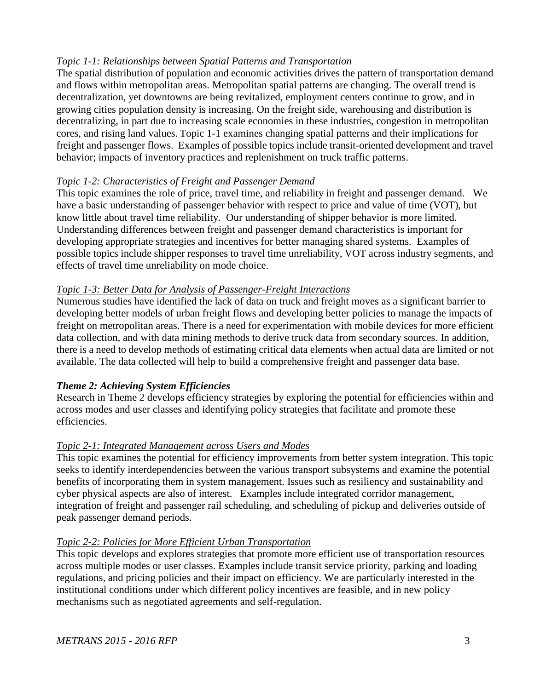#### *Topic 1-1: Relationships between Spatial Patterns and Transportation*

The spatial distribution of population and economic activities drives the pattern of transportation demand and flows within metropolitan areas. Metropolitan spatial patterns are changing. The overall trend is decentralization, yet downtowns are being revitalized, employment centers continue to grow, and in growing cities population density is increasing. On the freight side, warehousing and distribution is decentralizing, in part due to increasing scale economies in these industries, congestion in metropolitan cores, and rising land values. Topic 1-1 examines changing spatial patterns and their implications for freight and passenger flows. Examples of possible topics include transit-oriented development and travel behavior; impacts of inventory practices and replenishment on truck traffic patterns.

#### *Topic 1-2: Characteristics of Freight and Passenger Demand*

This topic examines the role of price, travel time, and reliability in freight and passenger demand. We have a basic understanding of passenger behavior with respect to price and value of time (VOT), but know little about travel time reliability. Our understanding of shipper behavior is more limited. Understanding differences between freight and passenger demand characteristics is important for developing appropriate strategies and incentives for better managing shared systems. Examples of possible topics include shipper responses to travel time unreliability, VOT across industry segments, and effects of travel time unreliability on mode choice.

#### *Topic 1-3: Better Data for Analysis of Passenger-Freight Interactions*

Numerous studies have identified the lack of data on truck and freight moves as a significant barrier to developing better models of urban freight flows and developing better policies to manage the impacts of freight on metropolitan areas. There is a need for experimentation with mobile devices for more efficient data collection, and with data mining methods to derive truck data from secondary sources. In addition, there is a need to develop methods of estimating critical data elements when actual data are limited or not available. The data collected will help to build a comprehensive freight and passenger data base.

#### *Theme 2: Achieving System Efficiencies*

Research in Theme 2 develops efficiency strategies by exploring the potential for efficiencies within and across modes and user classes and identifying policy strategies that facilitate and promote these efficiencies.

#### *Topic 2-1: Integrated Management across Users and Modes*

This topic examines the potential for efficiency improvements from better system integration. This topic seeks to identify interdependencies between the various transport subsystems and examine the potential benefits of incorporating them in system management. Issues such as resiliency and sustainability and cyber physical aspects are also of interest. Examples include integrated corridor management, integration of freight and passenger rail scheduling, and scheduling of pickup and deliveries outside of peak passenger demand periods.

#### *Topic 2-2: Policies for More Efficient Urban Transportation*

This topic develops and explores strategies that promote more efficient use of transportation resources across multiple modes or user classes. Examples include transit service priority, parking and loading regulations, and pricing policies and their impact on efficiency. We are particularly interested in the institutional conditions under which different policy incentives are feasible, and in new policy mechanisms such as negotiated agreements and self-regulation.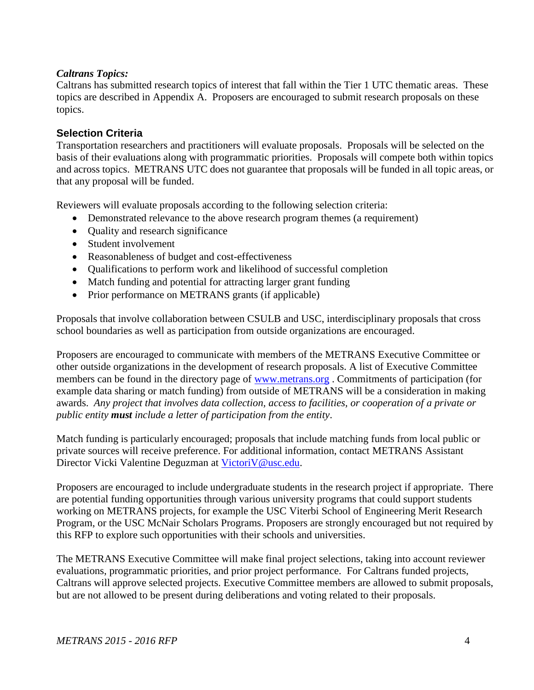#### *Caltrans Topics:*

Caltrans has submitted research topics of interest that fall within the Tier 1 UTC thematic areas. These topics are described in Appendix A. Proposers are encouraged to submit research proposals on these topics.

#### <span id="page-4-0"></span>**Selection Criteria**

Transportation researchers and practitioners will evaluate proposals. Proposals will be selected on the basis of their evaluations along with programmatic priorities. Proposals will compete both within topics and across topics. METRANS UTC does not guarantee that proposals will be funded in all topic areas, or that any proposal will be funded.

Reviewers will evaluate proposals according to the following selection criteria:

- Demonstrated relevance to the above research program themes (a requirement)
- Quality and research significance
- Student involvement
- Reasonableness of budget and cost-effectiveness
- Oualifications to perform work and likelihood of successful completion
- Match funding and potential for attracting larger grant funding
- Prior performance on METRANS grants (if applicable)

Proposals that involve collaboration between CSULB and USC, interdisciplinary proposals that cross school boundaries as well as participation from outside organizations are encouraged.

Proposers are encouraged to communicate with members of the METRANS Executive Committee or other outside organizations in the development of research proposals. A list of Executive Committee members can be found in the directory page of [www.metrans.org](http://www.metrans.org/) . Commitments of participation (for example data sharing or match funding) from outside of METRANS will be a consideration in making awards. *Any project that involves data collection, access to facilities, or cooperation of a private or public entity must include a letter of participation from the entity*.

Match funding is particularly encouraged; proposals that include matching funds from local public or private sources will receive preference. For additional information, contact METRANS Assistant Director Vicki Valentine Deguzman at Victori V@usc.edu.

Proposers are encouraged to include undergraduate students in the research project if appropriate. There are potential funding opportunities through various university programs that could support students working on METRANS projects, for example the USC Viterbi School of Engineering Merit Research Program, or the USC McNair Scholars Programs. Proposers are strongly encouraged but not required by this RFP to explore such opportunities with their schools and universities.

The METRANS Executive Committee will make final project selections, taking into account reviewer evaluations, programmatic priorities, and prior project performance. For Caltrans funded projects, Caltrans will approve selected projects. Executive Committee members are allowed to submit proposals, but are not allowed to be present during deliberations and voting related to their proposals.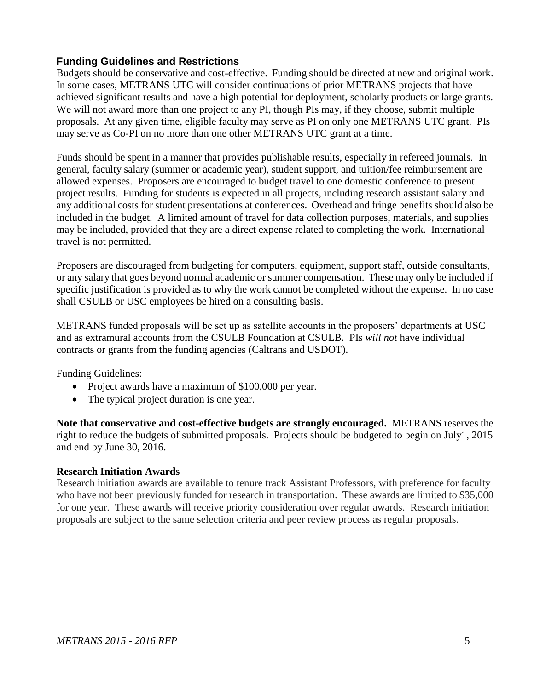#### <span id="page-5-0"></span>**Funding Guidelines and Restrictions**

Budgets should be conservative and cost-effective. Funding should be directed at new and original work. In some cases, METRANS UTC will consider continuations of prior METRANS projects that have achieved significant results and have a high potential for deployment, scholarly products or large grants. We will not award more than one project to any PI, though PIs may, if they choose, submit multiple proposals. At any given time, eligible faculty may serve as PI on only one METRANS UTC grant. PIs may serve as Co-PI on no more than one other METRANS UTC grant at a time.

Funds should be spent in a manner that provides publishable results, especially in refereed journals. In general, faculty salary (summer or academic year), student support, and tuition/fee reimbursement are allowed expenses. Proposers are encouraged to budget travel to one domestic conference to present project results. Funding for students is expected in all projects, including research assistant salary and any additional costs for student presentations at conferences. Overhead and fringe benefits should also be included in the budget. A limited amount of travel for data collection purposes, materials, and supplies may be included, provided that they are a direct expense related to completing the work. International travel is not permitted.

Proposers are discouraged from budgeting for computers, equipment, support staff, outside consultants, or any salary that goes beyond normal academic or summer compensation. These may only be included if specific justification is provided as to why the work cannot be completed without the expense. In no case shall CSULB or USC employees be hired on a consulting basis.

METRANS funded proposals will be set up as satellite accounts in the proposers' departments at USC and as extramural accounts from the CSULB Foundation at CSULB. PIs *will not* have individual contracts or grants from the funding agencies (Caltrans and USDOT).

Funding Guidelines:

- Project awards have a maximum of \$100,000 per year.
- The typical project duration is one year.

**Note that conservative and cost-effective budgets are strongly encouraged.** METRANS reserves the right to reduce the budgets of submitted proposals. Projects should be budgeted to begin on July1, 2015 and end by June 30, 2016.

#### **Research Initiation Awards**

<span id="page-5-1"></span>Research initiation awards are available to tenure track Assistant Professors, with preference for faculty who have not been previously funded for research in transportation. These awards are limited to \$35,000 for one year. These awards will receive priority consideration over regular awards. Research initiation proposals are subject to the same selection criteria and peer review process as regular proposals.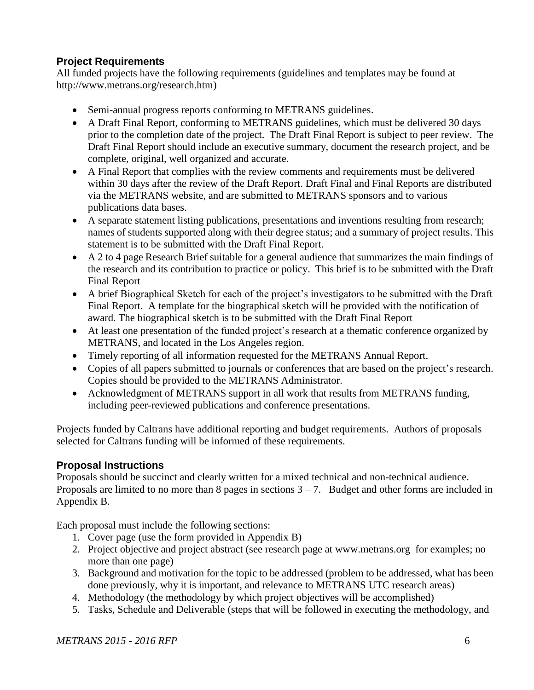#### **Project Requirements**

All funded projects have the following requirements (guidelines and templates may be found at [http://www.metrans.org/research.htm\)](http://www.metrans.org/research.htm)

- Semi-annual progress reports conforming to METRANS guidelines.
- A Draft Final Report, conforming to METRANS guidelines, which must be delivered 30 days prior to the completion date of the project. The Draft Final Report is subject to peer review. The Draft Final Report should include an executive summary, document the research project, and be complete, original, well organized and accurate.
- A Final Report that complies with the review comments and requirements must be delivered within 30 days after the review of the Draft Report. Draft Final and Final Reports are distributed via the METRANS website, and are submitted to METRANS sponsors and to various publications data bases.
- A separate statement listing publications, presentations and inventions resulting from research; names of students supported along with their degree status; and a summary of project results. This statement is to be submitted with the Draft Final Report.
- A 2 to 4 page Research Brief suitable for a general audience that summarizes the main findings of the research and its contribution to practice or policy. This brief is to be submitted with the Draft Final Report
- A brief Biographical Sketch for each of the project's investigators to be submitted with the Draft Final Report. A template for the biographical sketch will be provided with the notification of award. The biographical sketch is to be submitted with the Draft Final Report
- At least one presentation of the funded project's research at a thematic conference organized by METRANS, and located in the Los Angeles region.
- Timely reporting of all information requested for the METRANS Annual Report.
- Copies of all papers submitted to journals or conferences that are based on the project's research. Copies should be provided to the METRANS Administrator.
- Acknowledgment of METRANS support in all work that results from METRANS funding, including peer-reviewed publications and conference presentations.

Projects funded by Caltrans have additional reporting and budget requirements. Authors of proposals selected for Caltrans funding will be informed of these requirements.

#### <span id="page-6-0"></span>**Proposal Instructions**

Proposals should be succinct and clearly written for a mixed technical and non-technical audience. Proposals are limited to no more than 8 pages in sections  $3 - 7$ . Budget and other forms are included in Appendix B.

Each proposal must include the following sections:

- 1. Cover page (use the form provided in Appendix B)
- 2. Project objective and project abstract (see research page at [www.metrans.org](http://www.metrans.org/) for examples; no more than one page)
- 3. Background and motivation for the topic to be addressed (problem to be addressed, what has been done previously, why it is important, and relevance to METRANS UTC research areas)
- 4. Methodology (the methodology by which project objectives will be accomplished)
- 5. Tasks, Schedule and Deliverable (steps that will be followed in executing the methodology, and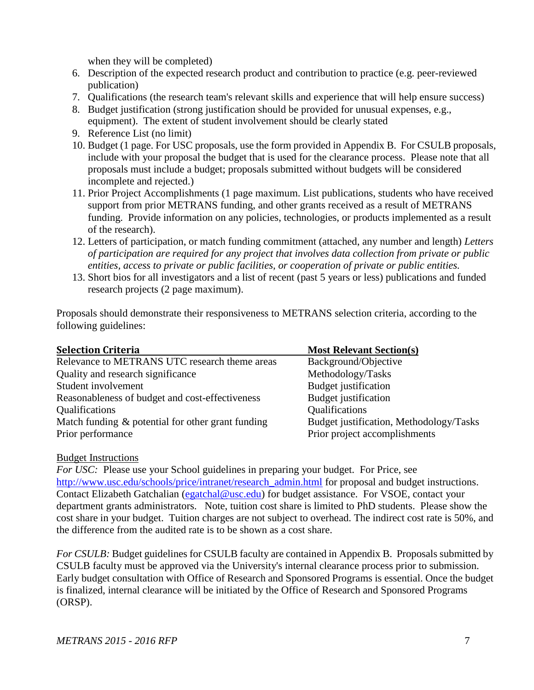when they will be completed)

- 6. Description of the expected research product and contribution to practice (e.g. peer-reviewed publication)
- 7. Qualifications (the research team's relevant skills and experience that will help ensure success)
- 8. Budget justification (strong justification should be provided for unusual expenses, e.g., equipment). The extent of student involvement should be clearly stated
- 9. Reference List (no limit)
- 10. Budget (1 page. For USC proposals, use the form provided in Appendix B. For CSULB proposals, include with your proposal the budget that is used for the clearance process. Please note that all proposals must include a budget; proposals submitted without budgets will be considered incomplete and rejected.)
- 11. Prior Project Accomplishments (1 page maximum. List publications, students who have received support from prior METRANS funding, and other grants received as a result of METRANS funding. Provide information on any policies, technologies, or products implemented as a result of the research).
- 12. Letters of participation, or match funding commitment (attached, any number and length) *Letters of participation are required for any project that involves data collection from private or public entities, access to private or public facilities, or cooperation of private or public entities.*
- 13. Short bios for all investigators and a list of recent (past 5 years or less) publications and funded research projects (2 page maximum).

Proposals should demonstrate their responsiveness to METRANS selection criteria, according to the following guidelines:

<span id="page-7-0"></span>

| <b>Selection Criteria</b>                                                 | <b>Most Relevant Section(s)</b>                                          |
|---------------------------------------------------------------------------|--------------------------------------------------------------------------|
| Relevance to METRANS UTC research theme areas                             | Background/Objective                                                     |
| Quality and research significance                                         | Methodology/Tasks                                                        |
| Student involvement                                                       | Budget justification                                                     |
| Reasonableness of budget and cost-effectiveness                           | Budget justification                                                     |
| Qualifications                                                            | Qualifications                                                           |
| Match funding $\&$ potential for other grant funding<br>Prior performance | Budget justification, Methodology/Tasks<br>Prior project accomplishments |
|                                                                           |                                                                          |

#### <span id="page-7-1"></span>Budget Instructions

*For USC:* Please use your School guidelines in preparing your budget. For Price, see [http://www.usc.edu/schools/price/intranet/research\\_admin.html](http://www.usc.edu/schools/price/intranet/research_admin.html) for proposal and budget instructions. Contact Elizabeth Gatchalian [\(egatchal@usc.edu\)](mailto:egatchal@usc.edu) for budget assistance. For VSOE, contact your department grants administrators. Note, tuition cost share is limited to PhD students. Please show the cost share in your budget. Tuition charges are not subject to overhead. The indirect cost rate is 50%, and the difference from the audited rate is to be shown as a cost share.

*For CSULB:* Budget guidelines for CSULB faculty are contained in Appendix B. Proposals submitted by CSULB faculty must be approved via the University's internal clearance process prior to submission. Early budget consultation with Office of Research and Sponsored Programs is essential. Once the budget is finalized, internal clearance will be initiated by the Office of Research and Sponsored Programs (ORSP).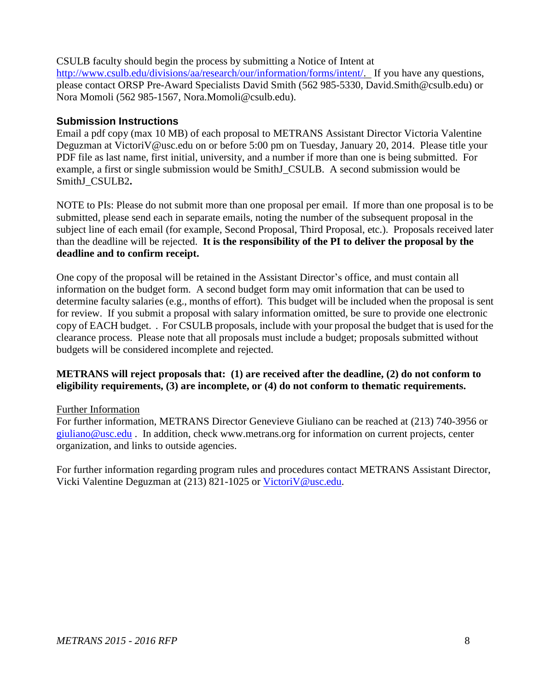#### CSULB faculty should begin the process by submitting a Notice of Intent at

[http://www.csulb.edu/divisions/aa/research/our/information/forms/intent/.](http://www.csulb.edu/divisions/aa/research/our/information/forms/intent/) If you have any questions, please contact ORSP Pre-Award Specialists David Smith (562 985-5330, David.Smith@csulb.edu) or Nora Momoli (562 985-1567, Nora.Momoli@csulb.edu).

#### <span id="page-8-0"></span>**Submission Instructions**

Email a pdf copy (max 10 MB) of each proposal to METRANS Assistant Director Victoria Valentine Deguzman at VictoriV@usc.edu on or before 5:00 pm on Tuesday, January 20, 2014. Please title your PDF file as last name, first initial, university, and a number if more than one is being submitted. For example, a first or single submission would be SmithJ CSULB. A second submission would be SmithJ\_CSULB2**.** 

NOTE to PIs: Please do not submit more than one proposal per email. If more than one proposal is to be submitted, please send each in separate emails, noting the number of the subsequent proposal in the subject line of each email (for example, Second Proposal, Third Proposal, etc.). Proposals received later than the deadline will be rejected. **It is the responsibility of the PI to deliver the proposal by the deadline and to confirm receipt.** 

One copy of the proposal will be retained in the Assistant Director's office, and must contain all information on the budget form. A second budget form may omit information that can be used to determine faculty salaries (e.g., months of effort). This budget will be included when the proposal is sent for review. If you submit a proposal with salary information omitted, be sure to provide one electronic copy of EACH budget. . For CSULB proposals, include with your proposal the budget that is used for the clearance process. Please note that all proposals must include a budget; proposals submitted without budgets will be considered incomplete and rejected.

#### **METRANS will reject proposals that: (1) are received after the deadline, (2) do not conform to eligibility requirements, (3) are incomplete, or (4) do not conform to thematic requirements.**

#### <span id="page-8-1"></span>Further Information

For further information, METRANS Director Genevieve Giuliano can be reached at (213) 740-3956 or [giuliano@usc.edu](mailto:giuliano@usc.edu) . In addition, check [www.metrans.org](http://www.metrans.org/) for information on current projects, center organization, and links to outside agencies.

For further information regarding program rules and procedures contact METRANS Assistant Director, Vicki Valentine Deguzman at (213) 821-1025 or [VictoriV@usc.edu.](mailto:VictoriV@usc.edu)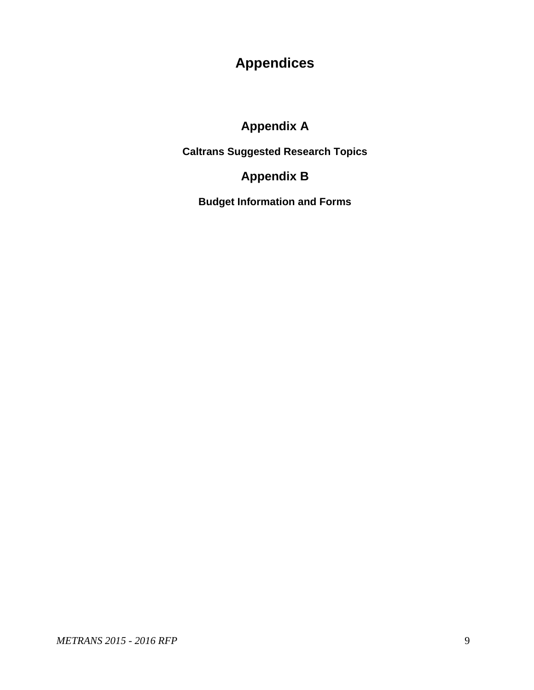# **Appendices**

# **Appendix A**

**Caltrans Suggested Research Topics**

# **Appendix B**

**Budget Information and Forms**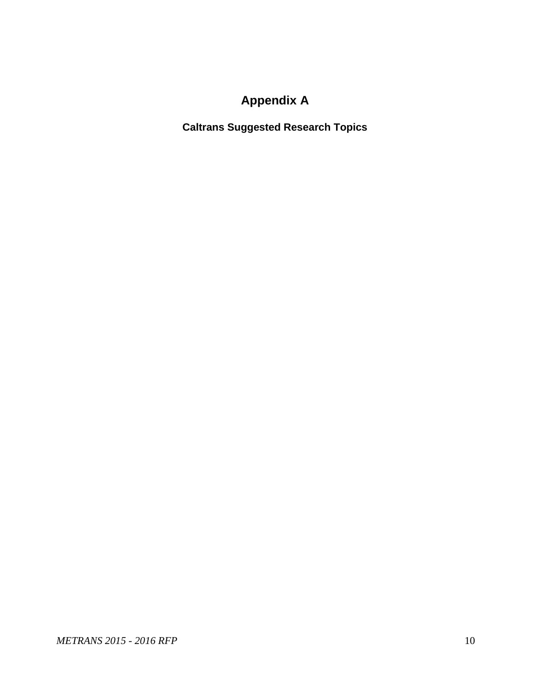# **Appendix A**

<span id="page-10-0"></span>**Caltrans Suggested Research Topics**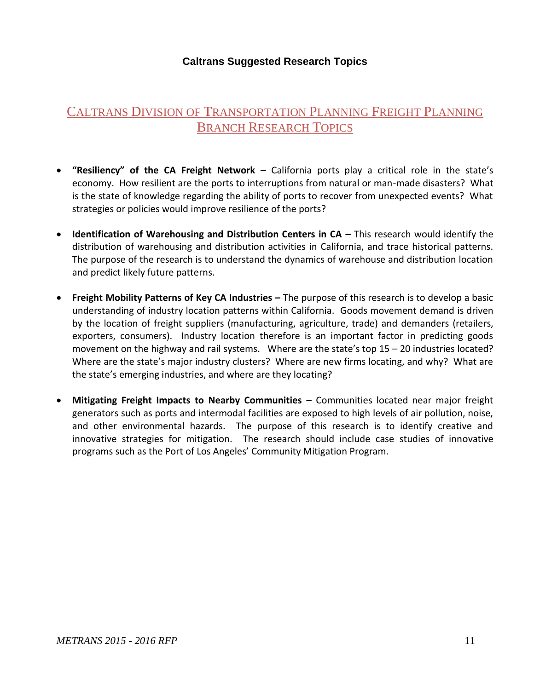#### **Caltrans Suggested Research Topics**

### CALTRANS DIVISION OF TRANSPORTATION PLANNING FREIGHT PLANNING **BRANCH RESEARCH TOPICS**

- **"Resiliency" of the CA Freight Network –** California ports play a critical role in the state's economy. How resilient are the ports to interruptions from natural or man-made disasters? What is the state of knowledge regarding the ability of ports to recover from unexpected events? What strategies or policies would improve resilience of the ports?
- **•** Identification of Warehousing and Distribution Centers in CA This research would identify the distribution of warehousing and distribution activities in California, and trace historical patterns. The purpose of the research is to understand the dynamics of warehouse and distribution location and predict likely future patterns.
- **Freight Mobility Patterns of Key CA Industries –** The purpose of this research is to develop a basic understanding of industry location patterns within California. Goods movement demand is driven by the location of freight suppliers (manufacturing, agriculture, trade) and demanders (retailers, exporters, consumers). Industry location therefore is an important factor in predicting goods movement on the highway and rail systems. Where are the state's top 15 – 20 industries located? Where are the state's major industry clusters? Where are new firms locating, and why? What are the state's emerging industries, and where are they locating?
- **Mitigating Freight Impacts to Nearby Communities –** Communities located near major freight generators such as ports and intermodal facilities are exposed to high levels of air pollution, noise, and other environmental hazards. The purpose of this research is to identify creative and innovative strategies for mitigation. The research should include case studies of innovative programs such as the Port of Los Angeles' Community Mitigation Program.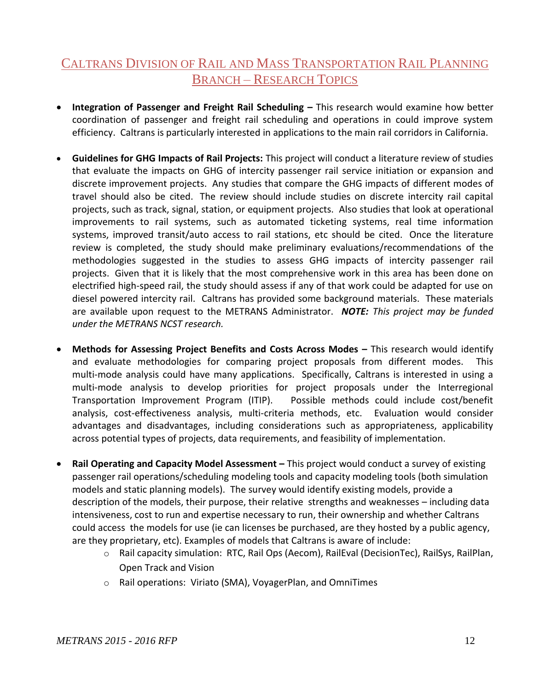### CALTRANS DIVISION OF RAIL AND MASS TRANSPORTATION RAIL PLANNING BRANCH – RESEARCH TOPICS

- **Integration of Passenger and Freight Rail Scheduling This research would examine how better** coordination of passenger and freight rail scheduling and operations in could improve system efficiency. Caltrans is particularly interested in applications to the main rail corridors in California.
- **Guidelines for GHG Impacts of Rail Projects:** This project will conduct a literature review of studies that evaluate the impacts on GHG of intercity passenger rail service initiation or expansion and discrete improvement projects. Any studies that compare the GHG impacts of different modes of travel should also be cited. The review should include studies on discrete intercity rail capital projects, such as track, signal, station, or equipment projects. Also studies that look at operational improvements to rail systems, such as automated ticketing systems, real time information systems, improved transit/auto access to rail stations, etc should be cited. Once the literature review is completed, the study should make preliminary evaluations/recommendations of the methodologies suggested in the studies to assess GHG impacts of intercity passenger rail projects. Given that it is likely that the most comprehensive work in this area has been done on electrified high-speed rail, the study should assess if any of that work could be adapted for use on diesel powered intercity rail. Caltrans has provided some background materials. These materials are available upon request to the METRANS Administrator. *NOTE: This project may be funded under the METRANS NCST research.*
- **Methods for Assessing Project Benefits and Costs Across Modes This research would identify** and evaluate methodologies for comparing project proposals from different modes. This multi-mode analysis could have many applications. Specifically, Caltrans is interested in using a multi-mode analysis to develop priorities for project proposals under the Interregional Transportation Improvement Program (ITIP). Possible methods could include cost/benefit analysis, cost-effectiveness analysis, multi-criteria methods, etc. Evaluation would consider advantages and disadvantages, including considerations such as appropriateness, applicability across potential types of projects, data requirements, and feasibility of implementation.
- **Rail Operating and Capacity Model Assessment This project would conduct a survey of existing** passenger rail operations/scheduling modeling tools and capacity modeling tools (both simulation models and static planning models). The survey would identify existing models, provide a description of the models, their purpose, their relative strengths and weaknesses – including data intensiveness, cost to run and expertise necessary to run, their ownership and whether Caltrans could access the models for use (ie can licenses be purchased, are they hosted by a public agency, are they proprietary, etc). Examples of models that Caltrans is aware of include:
	- o Rail capacity simulation: RTC, Rail Ops (Aecom), RailEval (DecisionTec), RailSys, RailPlan, Open Track and Vision
	- o Rail operations: Viriato (SMA), VoyagerPlan, and OmniTimes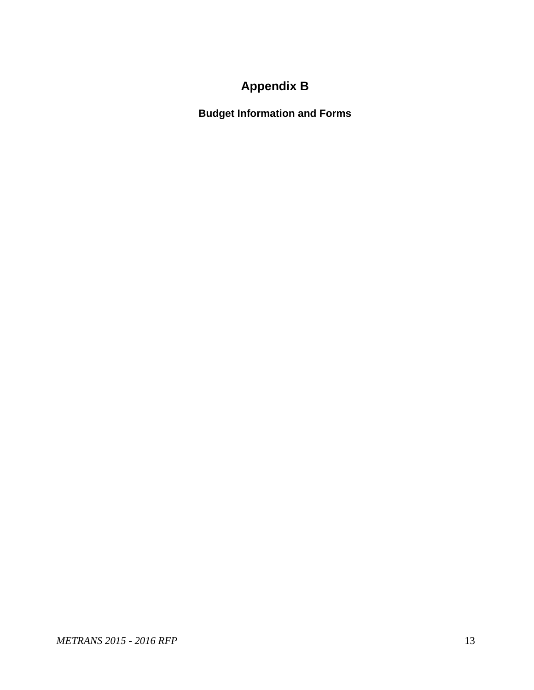# **Appendix B**

**Budget Information and Forms**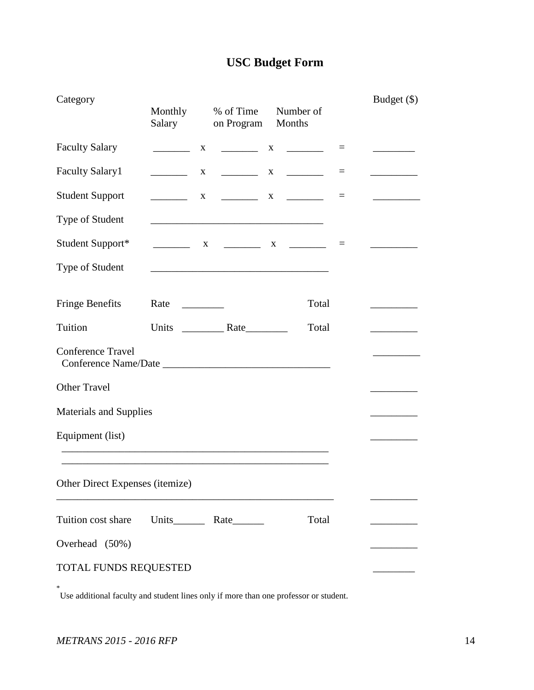# **USC Budget Form**

| Category                        | Monthly<br>Salary                                                                                                                                                                                                                            | % of Time<br>on Program                                                                                                | Number of<br>Months                                               |          | Budget (\$) |
|---------------------------------|----------------------------------------------------------------------------------------------------------------------------------------------------------------------------------------------------------------------------------------------|------------------------------------------------------------------------------------------------------------------------|-------------------------------------------------------------------|----------|-------------|
| <b>Faculty Salary</b>           |                                                                                                                                                                                                                                              | X                                                                                                                      |                                                                   | $\equiv$ |             |
| <b>Faculty Salary1</b>          |                                                                                                                                                                                                                                              | $\mathbf{X}$                                                                                                           |                                                                   | $=$      |             |
| <b>Student Support</b>          |                                                                                                                                                                                                                                              | $\mathbf{X}$                                                                                                           | $\begin{array}{ccccccccccccc}\n & & X & & \n & & & \n\end{array}$ | $\equiv$ |             |
| Type of Student                 |                                                                                                                                                                                                                                              | <u> 1989 - Johann John Stone, mars eta biztanleria (h. 1989).</u>                                                      |                                                                   |          |             |
| Student Support*                |                                                                                                                                                                                                                                              | X __________ X ________                                                                                                |                                                                   | $\equiv$ |             |
| Type of Student                 |                                                                                                                                                                                                                                              | <u> 1989 - Johann Barn, mars ann an t-Amhain ann an t-Amhain an t-Amhain an t-Amhain an t-Amhain an t-Amhain an t-</u> |                                                                   |          |             |
| <b>Fringe Benefits</b>          | Rate<br><u>and the state of the state of the state of the state of the state of the state of the state of the state of the state of the state of the state of the state of the state of the state of the state of the state of the state</u> |                                                                                                                        | Total                                                             |          |             |
| Tuition                         |                                                                                                                                                                                                                                              |                                                                                                                        | Total                                                             |          |             |
| <b>Conference Travel</b>        |                                                                                                                                                                                                                                              |                                                                                                                        |                                                                   |          |             |
| <b>Other Travel</b>             |                                                                                                                                                                                                                                              |                                                                                                                        |                                                                   |          |             |
| <b>Materials and Supplies</b>   |                                                                                                                                                                                                                                              |                                                                                                                        |                                                                   |          |             |
| Equipment (list)                |                                                                                                                                                                                                                                              |                                                                                                                        |                                                                   |          |             |
|                                 |                                                                                                                                                                                                                                              |                                                                                                                        |                                                                   |          |             |
| Other Direct Expenses (itemize) |                                                                                                                                                                                                                                              |                                                                                                                        |                                                                   |          |             |
| Tuition cost share              |                                                                                                                                                                                                                                              |                                                                                                                        | Total                                                             |          |             |
| Overhead (50%)                  |                                                                                                                                                                                                                                              |                                                                                                                        |                                                                   |          |             |
| TOTAL FUNDS REQUESTED           |                                                                                                                                                                                                                                              |                                                                                                                        |                                                                   |          |             |

\* Use additional faculty and student lines only if more than one professor or student.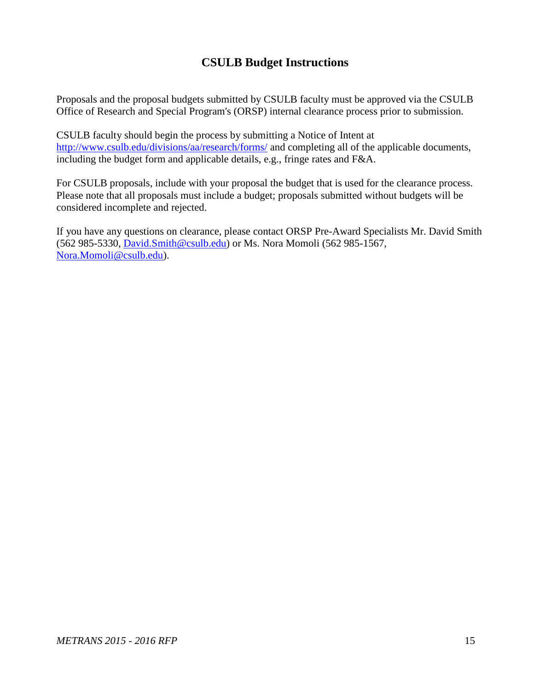### **CSULB Budget Instructions**

Proposals and the proposal budgets submitted by CSULB faculty must be approved via the CSULB Office of Research and Special Program's (ORSP) internal clearance process prior to submission.

CSULB faculty should begin the process by submitting a Notice of Intent at <http://www.csulb.edu/divisions/aa/research/forms/> and completing all of the applicable documents, including the budget form and applicable details, e.g., fringe rates and F&A.

For CSULB proposals, include with your proposal the budget that is used for the clearance process. Please note that all proposals must include a budget; proposals submitted without budgets will be considered incomplete and rejected.

If you have any questions on clearance, please contact ORSP Pre-Award Specialists Mr. David Smith (562 985-5330, [David.Smith@csulb.edu\)](mailto:David.Smith@csulb.edu) or Ms. Nora Momoli (562 985-1567, [Nora.Momoli@csulb.edu\)](mailto:Nora.Momoli@csulb.edu).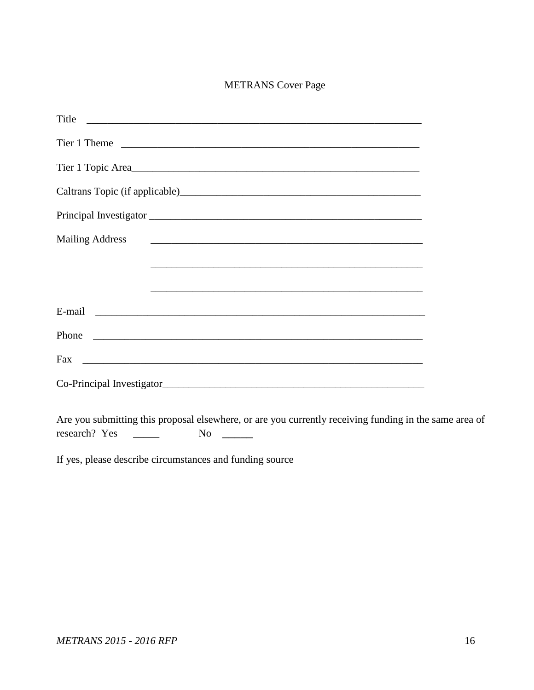#### METRANS Cover Page

| Title                                                                                                                                                                                                                                                                                                                                                                                                                                                        |
|--------------------------------------------------------------------------------------------------------------------------------------------------------------------------------------------------------------------------------------------------------------------------------------------------------------------------------------------------------------------------------------------------------------------------------------------------------------|
|                                                                                                                                                                                                                                                                                                                                                                                                                                                              |
|                                                                                                                                                                                                                                                                                                                                                                                                                                                              |
|                                                                                                                                                                                                                                                                                                                                                                                                                                                              |
|                                                                                                                                                                                                                                                                                                                                                                                                                                                              |
| <b>Mailing Address</b><br><u> 2001 - Jan James James James James James James James James James James James James James James James James J</u>                                                                                                                                                                                                                                                                                                               |
|                                                                                                                                                                                                                                                                                                                                                                                                                                                              |
| <u> 1989 - Johann Stoff, amerikansk politiker (d. 1989)</u>                                                                                                                                                                                                                                                                                                                                                                                                  |
|                                                                                                                                                                                                                                                                                                                                                                                                                                                              |
|                                                                                                                                                                                                                                                                                                                                                                                                                                                              |
|                                                                                                                                                                                                                                                                                                                                                                                                                                                              |
|                                                                                                                                                                                                                                                                                                                                                                                                                                                              |
| $\mathcal{L} = \mathcal{L} = \mathcal{L} = \mathcal{L} = \mathcal{L} = \mathcal{L} = \mathcal{L} = \mathcal{L} = \mathcal{L} = \mathcal{L} = \mathcal{L} = \mathcal{L} = \mathcal{L} = \mathcal{L} = \mathcal{L} = \mathcal{L} = \mathcal{L} = \mathcal{L} = \mathcal{L} = \mathcal{L} = \mathcal{L} = \mathcal{L} = \mathcal{L} = \mathcal{L} = \mathcal{L} = \mathcal{L} = \mathcal{L} = \mathcal{L} = \mathcal{L} = \mathcal{L} = \mathcal{L} = \mathcal$ |

Are you submitting this proposal elsewhere, or are you currently receiving funding in the same area of research? Yes \_\_\_\_\_\_ No \_\_\_\_\_

If yes, please describe circumstances and funding source